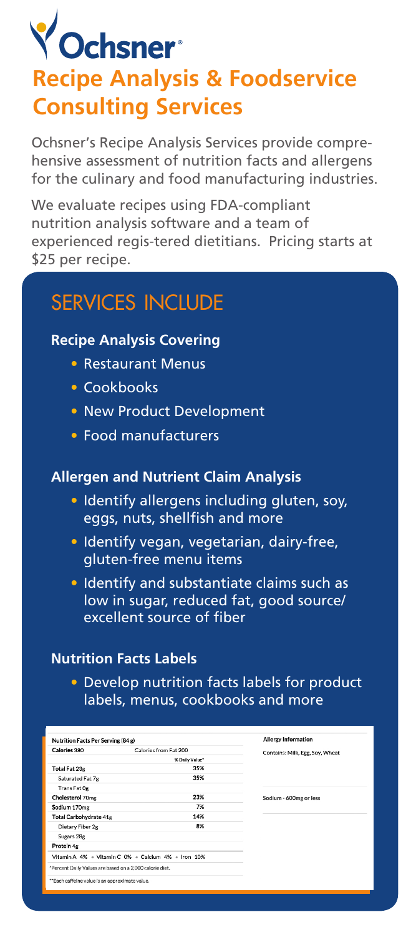# **Y** Ochsner<sup>®</sup> **Recipe Analysis & Foodservice Consulting Services**

Ochsner's Recipe Analysis Services provide comprehensive assessment of nutrition facts and allergens for the culinary and food manufacturing industries.

We evaluate recipes using FDA-compliant nutrition analysis software and a team of experienced regis-tered dietitians. Pricing starts at \$25 per recipe.

## services include

#### **Recipe Analysis Covering**

- Restaurant Menus
- Cookbooks
- New Product Development
- Food manufacturers

#### **Allergen and Nutrient Claim Analysis**

- Identify allergens including gluten, soy, eggs, nuts, shellfish and more
- Identify vegan, vegetarian, dairy-free, gluten-free menu items
- Identify and substantiate claims such as low in sugar, reduced fat, good source/ excellent source of fiber

#### **Nutrition Facts Labels**

• Develop nutrition facts labels for product labels, menus, cookbooks and more

| Nutrition Facts Per Serving (84 g)                       |                       | <b>Allergy Information</b>      |
|----------------------------------------------------------|-----------------------|---------------------------------|
| Calories 380                                             | Calories from Fat 200 | Contains: Milk, Egg, Soy, Wheat |
| % Daily Value*                                           |                       |                                 |
| Total Fat 23g                                            | 35%                   |                                 |
| Saturated Fat 7g                                         | 35%                   |                                 |
| Trans Fat Og                                             |                       |                                 |
| Cholesterol 70mg                                         | 23%                   | Sodium - 600mg or less          |
| Sodium 170mg                                             | 7%                    |                                 |
| Total Carbohydrate 41g                                   | 14%                   |                                 |
| Dietary Fiber 2g                                         | 8%                    |                                 |
| Sugars 28g                                               |                       |                                 |
| Protein <sub>4g</sub>                                    |                       |                                 |
| Vitamin A 4% . Vitamin C 0% . Calcium 4% . Iron 10%      |                       |                                 |
| *Percent Daily Values are based on a 2,000 calorie diet. |                       |                                 |
| **Each caffeine value is an approximate value.           |                       |                                 |